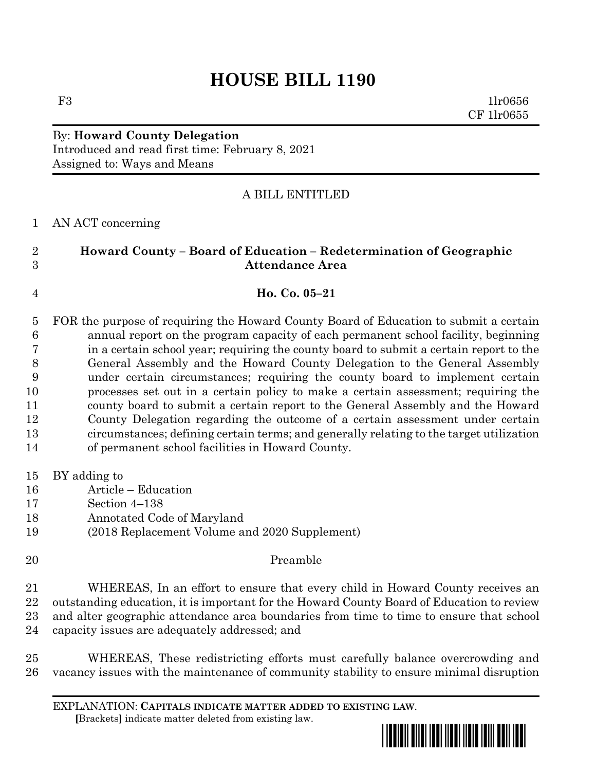# **HOUSE BILL 1190**

 $F3$  1lr0656 CF 1lr0655

## By: **Howard County Delegation** Introduced and read first time: February 8, 2021 Assigned to: Ways and Means

## A BILL ENTITLED

### AN ACT concerning

## **Howard County – Board of Education – Redetermination of Geographic Attendance Area**

### **Ho. Co. 05–21**

 FOR the purpose of requiring the Howard County Board of Education to submit a certain annual report on the program capacity of each permanent school facility, beginning in a certain school year; requiring the county board to submit a certain report to the General Assembly and the Howard County Delegation to the General Assembly under certain circumstances; requiring the county board to implement certain processes set out in a certain policy to make a certain assessment; requiring the county board to submit a certain report to the General Assembly and the Howard County Delegation regarding the outcome of a certain assessment under certain circumstances; defining certain terms; and generally relating to the target utilization of permanent school facilities in Howard County.

- BY adding to
- Article Education
- Section 4–138
- Annotated Code of Maryland
- (2018 Replacement Volume and 2020 Supplement)
- Preamble WHEREAS, In an effort to ensure that every child in Howard County receives an outstanding education, it is important for the Howard County Board of Education to review and alter geographic attendance area boundaries from time to time to ensure that school capacity issues are adequately addressed; and
- WHEREAS, These redistricting efforts must carefully balance overcrowding and vacancy issues with the maintenance of community stability to ensure minimal disruption

EXPLANATION: **CAPITALS INDICATE MATTER ADDED TO EXISTING LAW**.  **[**Brackets**]** indicate matter deleted from existing law.

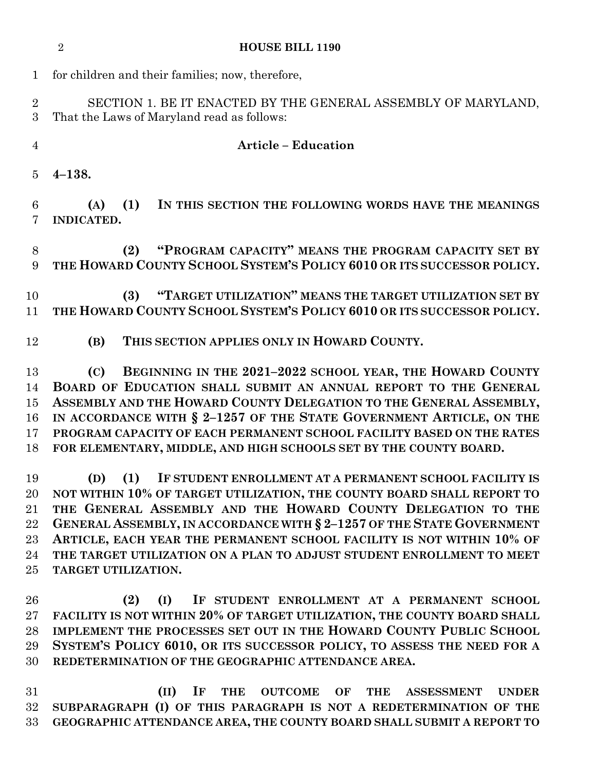| $\mathbf 1$                      | for children and their families; now, therefore,                                                                                                                                                                                                                                                                                                                                                                                                                     |
|----------------------------------|----------------------------------------------------------------------------------------------------------------------------------------------------------------------------------------------------------------------------------------------------------------------------------------------------------------------------------------------------------------------------------------------------------------------------------------------------------------------|
| $\overline{2}$<br>3              | SECTION 1. BE IT ENACTED BY THE GENERAL ASSEMBLY OF MARYLAND,<br>That the Laws of Maryland read as follows:                                                                                                                                                                                                                                                                                                                                                          |
| $\overline{4}$                   | <b>Article - Education</b>                                                                                                                                                                                                                                                                                                                                                                                                                                           |
| 5                                | $4 - 138.$                                                                                                                                                                                                                                                                                                                                                                                                                                                           |
| 6<br>7                           | IN THIS SECTION THE FOLLOWING WORDS HAVE THE MEANINGS<br>(A)<br>(1)<br><b>INDICATED.</b>                                                                                                                                                                                                                                                                                                                                                                             |
| 8<br>9                           | "PROGRAM CAPACITY" MEANS THE PROGRAM CAPACITY SET BY<br>(2)<br>THE HOWARD COUNTY SCHOOL SYSTEM'S POLICY 6010 OR ITS SUCCESSOR POLICY.                                                                                                                                                                                                                                                                                                                                |
| 10<br>11                         | "TARGET UTILIZATION" MEANS THE TARGET UTILIZATION SET BY<br>(3)<br>THE HOWARD COUNTY SCHOOL SYSTEM'S POLICY 6010 OR ITS SUCCESSOR POLICY.                                                                                                                                                                                                                                                                                                                            |
| 12                               | THIS SECTION APPLIES ONLY IN HOWARD COUNTY.<br>(B)                                                                                                                                                                                                                                                                                                                                                                                                                   |
| 13<br>14<br>15<br>16<br>17<br>18 | BEGINNING IN THE 2021-2022 SCHOOL YEAR, THE HOWARD COUNTY<br>(C)<br>BOARD OF EDUCATION SHALL SUBMIT AN ANNUAL REPORT TO THE GENERAL<br>ASSEMBLY AND THE HOWARD COUNTY DELEGATION TO THE GENERAL ASSEMBLY,<br>IN ACCORDANCE WITH § 2-1257 OF THE STATE GOVERNMENT ARTICLE, ON THE<br>PROGRAM CAPACITY OF EACH PERMANENT SCHOOL FACILITY BASED ON THE RATES<br>FOR ELEMENTARY, MIDDLE, AND HIGH SCHOOLS SET BY THE COUNTY BOARD.                                       |
| 19<br>21<br>22<br>23<br>24<br>25 | IF STUDENT ENROLLMENT AT A PERMANENT SCHOOL FACILITY IS<br>(D)<br>(1)<br>20 NOT WITHIN 10% OF TARGET UTILIZATION, THE COUNTY BOARD SHALL REPORT TO<br>THE GENERAL ASSEMBLY AND THE HOWARD COUNTY DELEGATION TO THE<br>GENERAL ASSEMBLY, IN ACCORDANCE WITH § 2-1257 OF THE STATE GOVERNMENT<br>ARTICLE, EACH YEAR THE PERMANENT SCHOOL FACILITY IS NOT WITHIN 10% OF<br>THE TARGET UTILIZATION ON A PLAN TO ADJUST STUDENT ENROLLMENT TO MEET<br>TARGET UTILIZATION. |
| 26<br>27<br>28<br>29<br>30       | (2)<br>(I) IF STUDENT ENROLLMENT AT A PERMANENT SCHOOL<br>FACILITY IS NOT WITHIN 20% OF TARGET UTILIZATION, THE COUNTY BOARD SHALL<br>IMPLEMENT THE PROCESSES SET OUT IN THE HOWARD COUNTY PUBLIC SCHOOL<br>SYSTEM'S POLICY 6010, OR ITS SUCCESSOR POLICY, TO ASSESS THE NEED FOR A<br>REDETERMINATION OF THE GEOGRAPHIC ATTENDANCE AREA.                                                                                                                            |

**HOUSE BILL 1190**

 **(II) IF THE OUTCOME OF THE ASSESSMENT UNDER SUBPARAGRAPH (I) OF THIS PARAGRAPH IS NOT A REDETERMINATION OF THE GEOGRAPHIC ATTENDANCE AREA, THE COUNTY BOARD SHALL SUBMIT A REPORT TO**